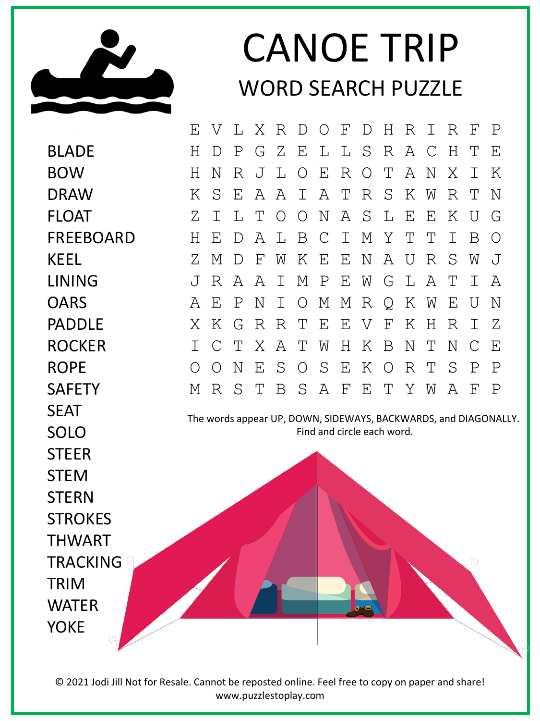

## CANOE TRIP WORD SEARCH PUZZLE

The words appear UP, DOWN, SIDEWAYS, BACKWARDS, and DIAGONALLY. Find and circle each word. BLADE BOW DRAW FLOAT FREEBOARD KEEL LINING **OARS** PADDLE ROCKER ROPE SAFETY **SFAT** SOLO **STEER** STEM **STERN STROKES** THWART TRACKING TRIM **WATFR** YOKE E V L X R D O F D H R I R F P H D P G Z E L L S R A C H T E H N R J L O E R O T A N X I K K S E A A I A T R S K W R T N Z I L T O O N A S L E E K U G H E D A L B C I M Y T T I B O Z M D F W K E E N A U R S W J J R A A I M P E W G L A T I A A E P N I O M M R Q K W E U N X K G R R T E E V F K H R I Z I C T X A T W H K B N T N C E O O N E S O S E K O R T S P P M R S T B S A F E T Y W A F P

© 2021 Jodi Jill Not for Resale. Cannot be reposted online. Feel free to copy on paper and share! www.puzzlestoplay.com